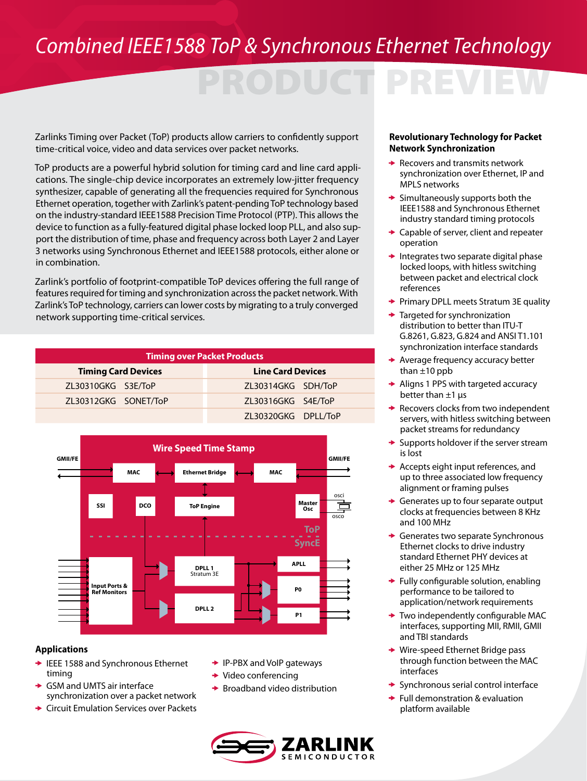### *Combined IEEE1588 ToP & Synchronous Ethernet Technology*

# PRODUCT PREVIEW

Zarlinks Timing over Packet (ToP) products allow carriers to confidently support time-critical voice, video and data services over packet networks.

ToP products are a powerful hybrid solution for timing card and line card applications. The single-chip device incorporates an extremely low-jitter frequency synthesizer, capable of generating all the frequencies required for Synchronous Ethernet operation, together with Zarlink's patent-pending ToP technology based on the industry-standard IEEE1588 Precision Time Protocol (PTP). This allows the device to function as a fully-featured digital phase locked loop PLL, and also support the distribution of time, phase and frequency across both Layer 2 and Layer 3 networks using Synchronous Ethernet and IEEE1588 protocols, either alone or in combination.

Zarlink's portfolio of footprint-compatible ToP devices offering the full range of features required for timing and synchronization across the packet network. With Zarlink's ToP technology, carriers can lower costs by migrating to a truly converged network supporting time-critical services.

| <b>Timing over Packet Products</b> |                          |
|------------------------------------|--------------------------|
| <b>Timing Card Devices</b>         | <b>Line Card Devices</b> |
| ZL30310GKG S3E/ToP                 | ZL30314GKG SDH/ToP       |
| ZL30312GKG SONET/ToP               | ZL30316GKG S4E/ToP       |
|                                    | ZL30320GKG DPLL/ToP      |



#### **Applications**

- **► IEEE 1588 and Synchronous Ethernet** timing
- GSM and UMTS air interface ۰ synchronization over a packet network
- Circuit Emulation Services over Packets
- **► IP-PBX and VoIP gateways**
- $\rightarrow$  Video conferencing
- $\rightarrow$  Broadband video distribution



#### **Revolutionary Technology for Packet Network Synchronization**

- $\rightarrow$  Recovers and transmits network synchronization over Ethernet, IP and MPLS networks
- $\rightarrow$  Simultaneously supports both the IEEE1588 and Synchronous Ethernet industry standard timing protocols
- **← Capable of server, client and repeater** operation
- $\rightarrow$  Integrates two separate digital phase locked loops, with hitless switching between packet and electrical clock references
- Primary DPLL meets Stratum 3E quality
- Targeted for synchronization distribution to better than ITU-T G.8261, G.823, G.824 and ANSI T1.101 synchronization interface standards
- $\rightarrow$  Average frequency accuracy better than  $\pm 10$  ppb
- Aligns 1 PPS with targeted accuracy ۰ better than  $\pm 1$  μs
- $\rightarrow$  Recovers clocks from two independent servers, with hitless switching between packet streams for redundancy
- $\rightarrow$  Supports holdover if the server stream is lost
- $\rightarrow$  Accepts eight input references, and up to three associated low frequency alignment or framing pulses
- ÷ Generates up to four separate output clocks at frequencies between 8 KHz and 100 MHz
- ◆ Generates two separate Synchronous Ethernet clocks to drive industry standard Ethernet PHY devices at either 25 MHz or 125 MHz
- $\rightarrow$  Fully configurable solution, enabling performance to be tailored to application/network requirements
- $\rightarrow$  Two independently configurable MAC interfaces, supporting MII, RMII, GMII and TBI standards
- ◆ Wire-speed Ethernet Bridge pass through function between the MAC interfaces
- ◆ Synchronous serial control interface
- $\rightarrow$  Full demonstration & evaluation platform available